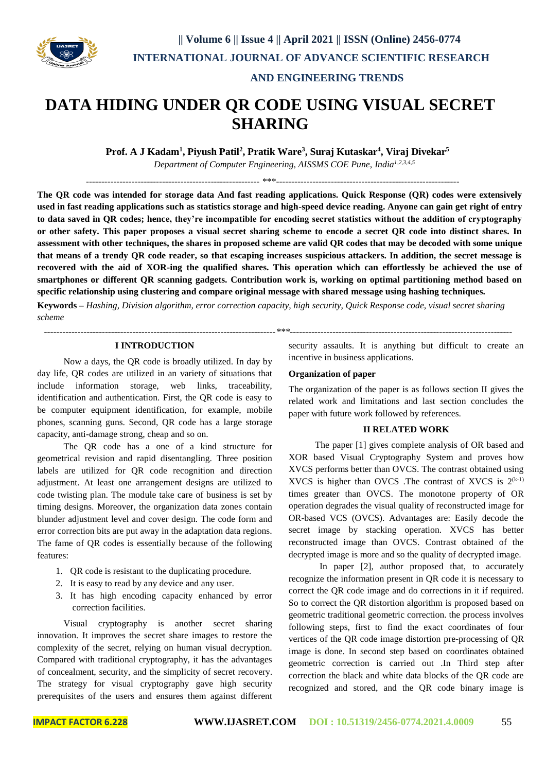

#### **AND ENGINEERING TRENDS**

# **DATA HIDING UNDER QR CODE USING VISUAL SECRET SHARING**

**Prof. A J Kadam<sup>1</sup> , Piyush Patil<sup>2</sup> , Pratik Ware<sup>3</sup> , Suraj Kutaskar<sup>4</sup> , Viraj Divekar<sup>5</sup>**

*Department of Computer Engineering, AISSMS COE Pune, India1,2,3,4,5*

--------------------------------------------------------- \*\*\*------------------------------------------------------------

**The QR code was intended for storage data And fast reading applications. Quick Response (QR) codes were extensively used in fast reading applications such as statistics storage and high-speed device reading. Anyone can gain get right of entry to data saved in QR codes; hence, they're incompatible for encoding secret statistics without the addition of cryptography or other safety. This paper proposes a visual secret sharing scheme to encode a secret QR code into distinct shares. In assessment with other techniques, the shares in proposed scheme are valid QR codes that may be decoded with some unique that means of a trendy QR code reader, so that escaping increases suspicious attackers. In addition, the secret message is recovered with the aid of XOR-ing the qualified shares. This operation which can effortlessly be achieved the use of smartphones or different QR scanning gadgets. Contribution work is, working on optimal partitioning method based on specific relationship using clustering and compare original message with shared message using hashing techniques.**

**Keywords –** *Hashing, Division algorithm, error correction capacity, high security, Quick Response code, visual secret sharing scheme*

*----------------------------------------------------------------------------\*\*\*-------------------------------------------------------------------------*

### **I INTRODUCTION**

Now a days, the QR code is broadly utilized. In day by day life, QR codes are utilized in an variety of situations that include information storage, web links, traceability, identification and authentication. First, the QR code is easy to be computer equipment identification, for example, mobile phones, scanning guns. Second, QR code has a large storage capacity, anti-damage strong, cheap and so on.

The QR code has a one of a kind structure for geometrical revision and rapid disentangling. Three position labels are utilized for QR code recognition and direction adjustment. At least one arrangement designs are utilized to code twisting plan. The module take care of business is set by timing designs. Moreover, the organization data zones contain blunder adjustment level and cover design. The code form and error correction bits are put away in the adaptation data regions. The fame of QR codes is essentially because of the following features:

- 1. QR code is resistant to the duplicating procedure.
- 2. It is easy to read by any device and any user.
- 3. It has high encoding capacity enhanced by error correction facilities.

Visual cryptography is another secret sharing innovation. It improves the secret share images to restore the complexity of the secret, relying on human visual decryption. Compared with traditional cryptography, it has the advantages of concealment, security, and the simplicity of secret recovery. The strategy for visual cryptography gave high security prerequisites of the users and ensures them against different

security assaults. It is anything but difficult to create an incentive in business applications.

#### **Organization of paper**

The organization of the paper is as follows section II gives the related work and limitations and last section concludes the paper with future work followed by references.

#### **II RELATED WORK**

The paper [1] gives complete analysis of OR based and XOR based Visual Cryptography System and proves how XVCS performs better than OVCS. The contrast obtained using XVCS is higher than OVCS .The contrast of XVCS is  $2^{(k-1)}$ times greater than OVCS. The monotone property of OR operation degrades the visual quality of reconstructed image for OR-based VCS (OVCS). Advantages are: Easily decode the secret image by stacking operation. XVCS has better reconstructed image than OVCS. Contrast obtained of the decrypted image is more and so the quality of decrypted image.

 In paper [2], author proposed that, to accurately recognize the information present in QR code it is necessary to correct the QR code image and do corrections in it if required. So to correct the QR distortion algorithm is proposed based on geometric traditional geometric correction. the process involves following steps, first to find the exact coordinates of four vertices of the QR code image distortion pre-processing of QR image is done. In second step based on coordinates obtained geometric correction is carried out .In Third step after correction the black and white data blocks of the QR code are recognized and stored, and the QR code binary image is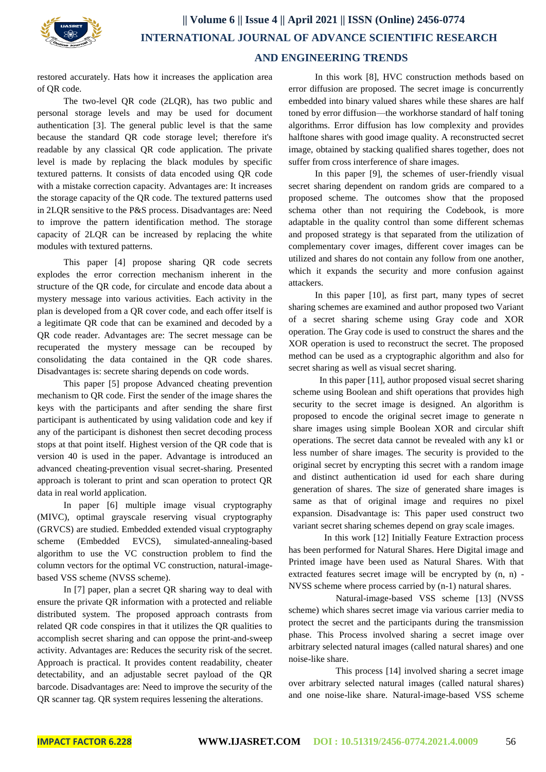

## **|| Volume 6 || Issue 4 || April 2021 || ISSN (Online) 2456-0774 INTERNATIONAL JOURNAL OF ADVANCE SCIENTIFIC RESEARCH AND ENGINEERING TRENDS**

restored accurately. Hats how it increases the application area of QR code.

The two-level QR code (2LQR), has two public and personal storage levels and may be used for document authentication [3]. The general public level is that the same because the standard QR code storage level; therefore it's readable by any classical QR code application. The private level is made by replacing the black modules by specific textured patterns. It consists of data encoded using QR code with a mistake correction capacity. Advantages are: It increases the storage capacity of the QR code. The textured patterns used in 2LQR sensitive to the P&S process. Disadvantages are: Need to improve the pattern identification method. The storage capacity of 2LQR can be increased by replacing the white modules with textured patterns.

This paper [4] propose sharing QR code secrets explodes the error correction mechanism inherent in the structure of the QR code, for circulate and encode data about a mystery message into various activities. Each activity in the plan is developed from a QR cover code, and each offer itself is a legitimate QR code that can be examined and decoded by a QR code reader. Advantages are: The secret message can be recuperated the mystery message can be recouped by consolidating the data contained in the QR code shares. Disadvantages is: secrete sharing depends on code words.

This paper [5] propose Advanced cheating prevention mechanism to QR code. First the sender of the image shares the keys with the participants and after sending the share first participant is authenticated by using validation code and key if any of the participant is dishonest then secret decoding process stops at that point itself. Highest version of the QR code that is version 40 is used in the paper. Advantage is introduced an advanced cheating-prevention visual secret-sharing. Presented approach is tolerant to print and scan operation to protect QR data in real world application.

In paper [6] multiple image visual cryptography (MIVC), optimal grayscale reserving visual cryptography (GRVCS) are studied. Embedded extended visual cryptography scheme (Embedded EVCS), simulated-annealing-based algorithm to use the VC construction problem to find the column vectors for the optimal VC construction, natural-imagebased VSS scheme (NVSS scheme).

In [7] paper, plan a secret QR sharing way to deal with ensure the private QR information with a protected and reliable distributed system. The proposed approach contrasts from related QR code conspires in that it utilizes the QR qualities to accomplish secret sharing and can oppose the print-and-sweep activity. Advantages are: Reduces the security risk of the secret. Approach is practical. It provides content readability, cheater detectability, and an adjustable secret payload of the QR barcode. Disadvantages are: Need to improve the security of the QR scanner tag. QR system requires lessening the alterations.

In this work [8], HVC construction methods based on error diffusion are proposed. The secret image is concurrently embedded into binary valued shares while these shares are half toned by error diffusion—the workhorse standard of half toning algorithms. Error diffusion has low complexity and provides halftone shares with good image quality. A reconstructed secret image, obtained by stacking qualified shares together, does not suffer from cross interference of share images.

In this paper [9], the schemes of user-friendly visual secret sharing dependent on random grids are compared to a proposed scheme. The outcomes show that the proposed schema other than not requiring the Codebook, is more adaptable in the quality control than some different schemas and proposed strategy is that separated from the utilization of complementary cover images, different cover images can be utilized and shares do not contain any follow from one another, which it expands the security and more confusion against attackers.

In this paper [10], as first part, many types of secret sharing schemes are examined and author proposed two Variant of a secret sharing scheme using Gray code and XOR operation. The Gray code is used to construct the shares and the XOR operation is used to reconstruct the secret. The proposed method can be used as a cryptographic algorithm and also for secret sharing as well as visual secret sharing.

In this paper [11], author proposed visual secret sharing scheme using Boolean and shift operations that provides high security to the secret image is designed. An algorithm is proposed to encode the original secret image to generate n share images using simple Boolean XOR and circular shift operations. The secret data cannot be revealed with any k1 or less number of share images. The security is provided to the original secret by encrypting this secret with a random image and distinct authentication id used for each share during generation of shares. The size of generated share images is same as that of original image and requires no pixel expansion. Disadvantage is: This paper used construct two variant secret sharing schemes depend on gray scale images.

 In this work [12] Initially Feature Extraction process has been performed for Natural Shares. Here Digital image and Printed image have been used as Natural Shares. With that extracted features secret image will be encrypted by (n, n) - NVSS scheme where process carried by (n-1) natural shares.

 Natural-image-based VSS scheme [13] (NVSS scheme) which shares secret image via various carrier media to protect the secret and the participants during the transmission phase. This Process involved sharing a secret image over arbitrary selected natural images (called natural shares) and one noise-like share.

 This process [14] involved sharing a secret image over arbitrary selected natural images (called natural shares) and one noise-like share. Natural-image-based VSS scheme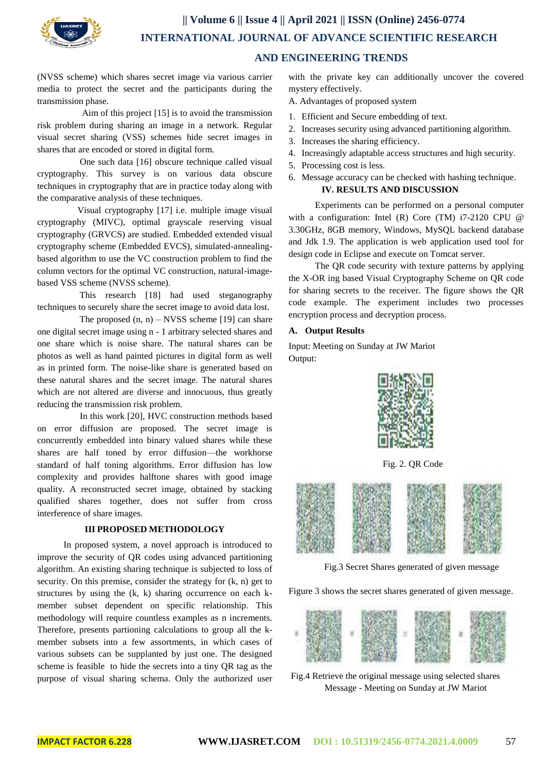

(NVSS scheme) which shares secret image via various carrier media to protect the secret and the participants during the transmission phase.

 Aim of this project [15] is to avoid the transmission risk problem during sharing an image in a network. Regular visual secret sharing (VSS) schemes hide secret images in shares that are encoded or stored in digital form.

 One such data [16] obscure technique called visual cryptography. This survey is on various data obscure techniques in cryptography that are in practice today along with the comparative analysis of these techniques.

 Visual cryptography [17] i.e. multiple image visual cryptography (MIVC), optimal grayscale reserving visual cryptography (GRVCS) are studied. Embedded extended visual cryptography scheme (Embedded EVCS), simulated-annealingbased algorithm to use the VC construction problem to find the column vectors for the optimal VC construction, natural-imagebased VSS scheme (NVSS scheme).

 This research [18] had used steganography techniques to securely share the secret image to avoid data lost.

The proposed  $(n, n)$  – NVSS scheme [19] can share one digital secret image using n - 1 arbitrary selected shares and one share which is noise share. The natural shares can be photos as well as hand painted pictures in digital form as well as in printed form. The noise-like share is generated based on these natural shares and the secret image. The natural shares which are not altered are diverse and innocuous, thus greatly reducing the transmission risk problem.

 In this work [20], HVC construction methods based on error diffusion are proposed. The secret image is concurrently embedded into binary valued shares while these shares are half toned by error diffusion—the workhorse standard of half toning algorithms. Error diffusion has low complexity and provides halftone shares with good image quality. A reconstructed secret image, obtained by stacking qualified shares together, does not suffer from cross interference of share images.

#### **III PROPOSED METHODOLOGY**

In proposed system, a novel approach is introduced to improve the security of QR codes using advanced partitioning algorithm. An existing sharing technique is subjected to loss of security. On this premise, consider the strategy for (k, n) get to structures by using the (k, k) sharing occurrence on each kmember subset dependent on specific relationship. This methodology will require countless examples as n increments. Therefore, presents partioning calculations to group all the kmember subsets into a few assortments, in which cases of various subsets can be supplanted by just one. The designed scheme is feasible to hide the secrets into a tiny QR tag as the purpose of visual sharing schema. Only the authorized user

with the private key can additionally uncover the covered mystery effectively.

- A. Advantages of proposed system
- 1. Efficient and Secure embedding of text.
- 2. Increases security using advanced partitioning algorithm.
- 3. Increases the sharing efficiency.
- 4. Increasingly adaptable access structures and high security.
- 5. Processing cost is less.
- 6. Message accuracy can be checked with hashing technique. **IV. RESULTS AND DISCUSSION**

Experiments can be performed on a personal computer with a configuration: Intel (R) Core (TM) i7-2120 CPU @ 3.30GHz, 8GB memory, Windows, MySQL backend database and Jdk 1.9. The application is web application used tool for design code in Eclipse and execute on Tomcat server.

The QR code security with texture patterns by applying the X-OR ing based Visual Cryptography Scheme on QR code for sharing secrets to the receiver. The figure shows the QR code example. The experiment includes two processes encryption process and decryption process.

#### **A. Output Results**

Input: Meeting on Sunday at JW Mariot Output:



Fig. 2. QR Code



Fig.3 Secret Shares generated of given message

Figure 3 shows the secret shares generated of given message.



Fig.4 Retrieve the original message using selected shares Message - Meeting on Sunday at JW Mariot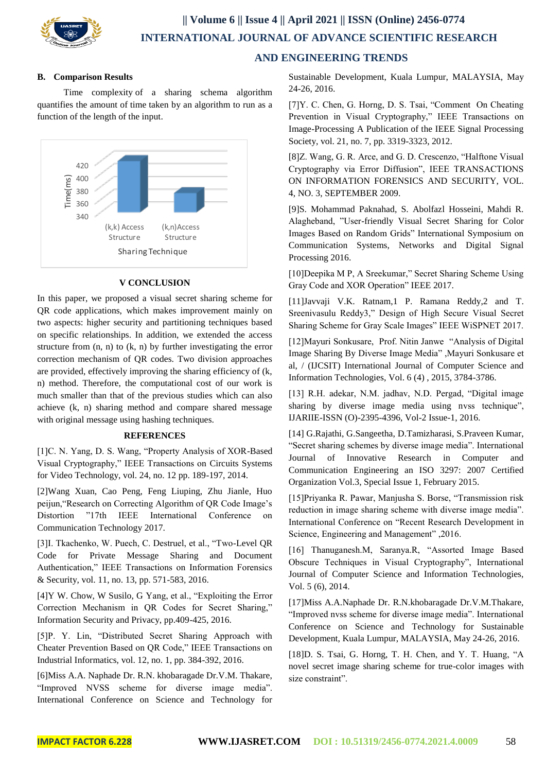

### **|| Volume 6 || Issue 4 || April 2021 || ISSN (Online) 2456-0774 INTERNATIONAL JOURNAL OF ADVANCE SCIENTIFIC RESEARCH AND ENGINEERING TRENDS**

#### **B. Comparison Results**

Time complexity of a sharing schema algorithm quantifies the amount of time taken by an algorithm to run as a function of the length of the input.



#### **V CONCLUSION**

In this paper, we proposed a visual secret sharing scheme for QR code applications, which makes improvement mainly on two aspects: higher security and partitioning techniques based on specific relationships. In addition, we extended the access structure from  $(n, n)$  to  $(k, n)$  by further investigating the error correction mechanism of QR codes. Two division approaches are provided, effectively improving the sharing efficiency of (k, n) method. Therefore, the computational cost of our work is much smaller than that of the previous studies which can also achieve (k, n) sharing method and compare shared message with original message using hashing techniques.

#### **REFERENCES**

[1]C. N. Yang, D. S. Wang, "Property Analysis of XOR-Based Visual Cryptography," IEEE Transactions on Circuits Systems for Video Technology, vol. 24, no. 12 pp. 189-197, 2014.

[2]Wang Xuan, Cao Peng, Feng Liuping, Zhu Jianle, Huo peijun,"Research on Correcting Algorithm of QR Code Image's Distortion "17th IEEE International Conference on Communication Technology 2017.

[3]I. Tkachenko, W. Puech, C. Destruel, et al., "Two-Level QR Code for Private Message Sharing and Document Authentication," IEEE Transactions on Information Forensics & Security, vol. 11, no. 13, pp. 571-583, 2016.

[4]Y W. Chow, W Susilo, G Yang, et al., "Exploiting the Error Correction Mechanism in QR Codes for Secret Sharing," Information Security and Privacy, pp.409-425, 2016.

[5]P. Y. Lin, "Distributed Secret Sharing Approach with Cheater Prevention Based on QR Code," IEEE Transactions on Industrial Informatics, vol. 12, no. 1, pp. 384-392, 2016.

[6]Miss A.A. Naphade Dr. R.N. khobaragade Dr.V.M. Thakare, "Improved NVSS scheme for diverse image media". International Conference on Science and Technology for Sustainable Development, Kuala Lumpur, MALAYSIA, May 24-26, 2016.

[7]Y. C. Chen, G. Horng, D. S. Tsai, "Comment On Cheating Prevention in Visual Cryptography," IEEE Transactions on Image-Processing A Publication of the IEEE Signal Processing Society, vol. 21, no. 7, pp. 3319-3323, 2012.

[8]Z. Wang, G. R. Arce, and G. D. Crescenzo, "Halftone Visual Cryptography via Error Diffusion", IEEE TRANSACTIONS ON INFORMATION FORENSICS AND SECURITY, VOL. 4, NO. 3, SEPTEMBER 2009.

[9]S. Mohammad Paknahad, S. Abolfazl Hosseini, Mahdi R. Alagheband, "User-friendly Visual Secret Sharing for Color Images Based on Random Grids" International Symposium on Communication Systems, Networks and Digital Signal Processing 2016.

[10]Deepika M P, A Sreekumar," Secret Sharing Scheme Using Gray Code and XOR Operation" IEEE 2017.

[11]Javvaji V.K. Ratnam,1 P. Ramana Reddy,2 and T. Sreenivasulu Reddy3," Design of High Secure Visual Secret Sharing Scheme for Gray Scale Images" IEEE WiSPNET 2017.

[12]Mayuri Sonkusare, Prof. Nitin Janwe "Analysis of Digital Image Sharing By Diverse Image Media" ,Mayuri Sonkusare et al, / (IJCSIT) International Journal of Computer Science and Information Technologies, Vol. 6 (4) , 2015, 3784-3786.

[13] R.H. adekar, N.M. jadhav, N.D. Pergad, "Digital image sharing by diverse image media using nvss technique", IJARIIE-ISSN (O)-2395-4396, Vol-2 Issue-1, 2016.

[14] G.Rajathi, G.Sangeetha, D.Tamizharasi, S.Praveen Kumar, "Secret sharing schemes by diverse image media". International Journal of Innovative Research in Computer and Communication Engineering an ISO 3297: 2007 Certified Organization Vol.3, Special Issue 1, February 2015.

[15]Priyanka R. Pawar, Manjusha S. Borse, "Transmission risk reduction in image sharing scheme with diverse image media". International Conference on "Recent Research Development in Science, Engineering and Management" ,2016.

[16] Thanuganesh.M, Saranya.R, "Assorted Image Based Obscure Techniques in Visual Cryptography", International Journal of Computer Science and Information Technologies, Vol. 5 (6), 2014.

[17]Miss A.A.Naphade Dr. R.N.khobaragade Dr.V.M.Thakare, "Improved nvss scheme for diverse image media". International Conference on Science and Technology for Sustainable Development, Kuala Lumpur, MALAYSIA, May 24-26, 2016.

[18]D. S. Tsai, G. Horng, T. H. Chen, and Y. T. Huang, "A novel secret image sharing scheme for true-color images with size constraint".